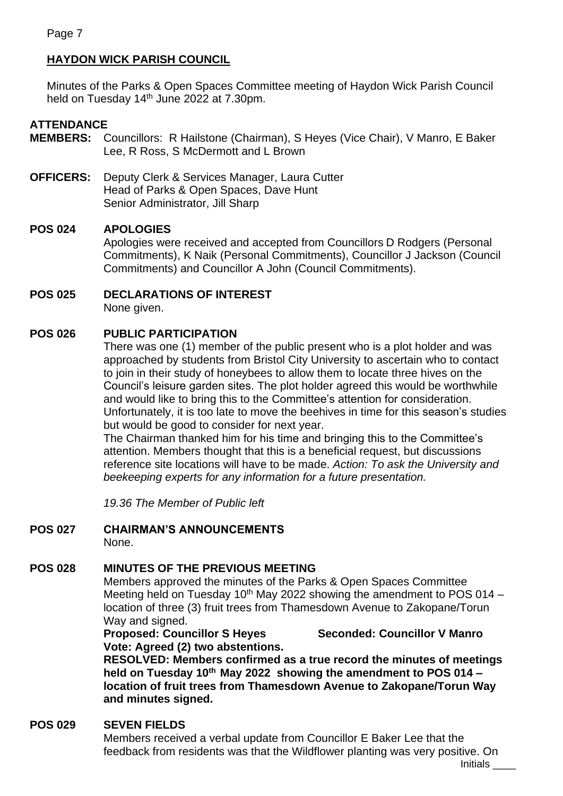# **HAYDON WICK PARISH COUNCIL**

Minutes of the Parks & Open Spaces Committee meeting of Haydon Wick Parish Council held on Tuesday 14<sup>th</sup> June 2022 at 7.30pm.

## **ATTENDANCE**

- **MEMBERS:** Councillors: R Hailstone (Chairman), S Heyes (Vice Chair), V Manro, E Baker Lee, R Ross, S McDermott and L Brown
- **OFFICERS:** Deputy Clerk & Services Manager, Laura Cutter Head of Parks & Open Spaces, Dave Hunt Senior Administrator, Jill Sharp

# **POS 024 APOLOGIES**

Apologies were received and accepted from Councillors D Rodgers (Personal Commitments), K Naik (Personal Commitments), Councillor J Jackson (Council Commitments) and Councillor A John (Council Commitments).

**POS 025 DECLARATIONS OF INTEREST**

None given.

## **POS 026 PUBLIC PARTICIPATION**

There was one (1) member of the public present who is a plot holder and was approached by students from Bristol City University to ascertain who to contact to join in their study of honeybees to allow them to locate three hives on the Council's leisure garden sites. The plot holder agreed this would be worthwhile and would like to bring this to the Committee's attention for consideration. Unfortunately, it is too late to move the beehives in time for this season's studies but would be good to consider for next year.

The Chairman thanked him for his time and bringing this to the Committee's attention. Members thought that this is a beneficial request, but discussions reference site locations will have to be made. *Action: To ask the University and beekeeping experts for any information for a future presentation.*

*19.36 The Member of Public left*

**POS 027 CHAIRMAN'S ANNOUNCEMENTS** None.

# **POS 028 MINUTES OF THE PREVIOUS MEETING**

Members approved the minutes of the Parks & Open Spaces Committee Meeting held on Tuesday 10<sup>th</sup> May 2022 showing the amendment to POS 014 – location of three (3) fruit trees from Thamesdown Avenue to Zakopane/Torun Way and signed.

**Proposed: Councillor S Heyes Seconded: Councillor V Manro Vote: Agreed (2) two abstentions.**

**RESOLVED: Members confirmed as a true record the minutes of meetings held on Tuesday 10th May 2022 showing the amendment to POS 014 – location of fruit trees from Thamesdown Avenue to Zakopane/Torun Way and minutes signed.**

## **POS 029 SEVEN FIELDS**

Members received a verbal update from Councillor E Baker Lee that the feedback from residents was that the Wildflower planting was very positive. On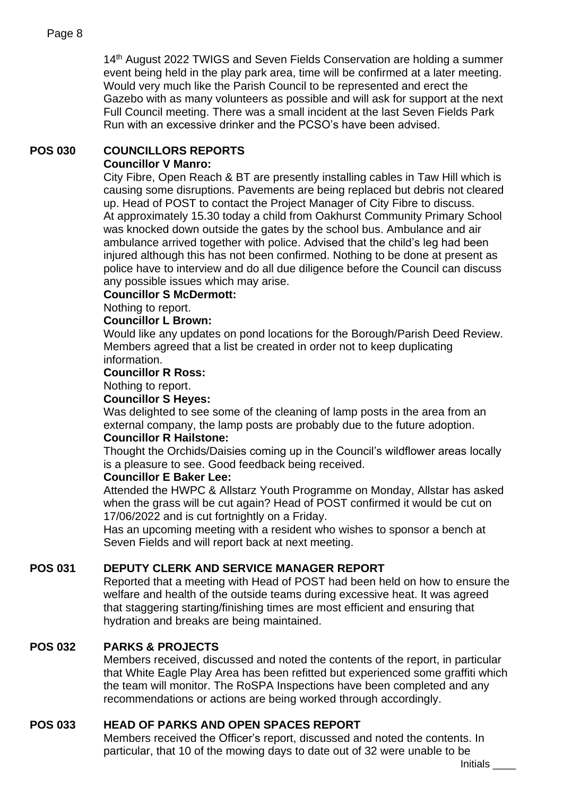14<sup>th</sup> August 2022 TWIGS and Seven Fields Conservation are holding a summer event being held in the play park area, time will be confirmed at a later meeting. Would very much like the Parish Council to be represented and erect the Gazebo with as many volunteers as possible and will ask for support at the next Full Council meeting. There was a small incident at the last Seven Fields Park Run with an excessive drinker and the PCSO's have been advised.

#### **POS 030 COUNCILLORS REPORTS Councillor V Manro:**

City Fibre, Open Reach & BT are presently installing cables in Taw Hill which is causing some disruptions. Pavements are being replaced but debris not cleared up. Head of POST to contact the Project Manager of City Fibre to discuss. At approximately 15.30 today a child from Oakhurst Community Primary School was knocked down outside the gates by the school bus. Ambulance and air ambulance arrived together with police. Advised that the child's leg had been injured although this has not been confirmed. Nothing to be done at present as police have to interview and do all due diligence before the Council can discuss any possible issues which may arise.

### **Councillor S McDermott:**

Nothing to report.

### **Councillor L Brown:**

Would like any updates on pond locations for the Borough/Parish Deed Review. Members agreed that a list be created in order not to keep duplicating information.

### **Councillor R Ross:**

Nothing to report.

#### **Councillor S Heyes:**

Was delighted to see some of the cleaning of lamp posts in the area from an external company, the lamp posts are probably due to the future adoption.

### **Councillor R Hailstone:**

Thought the Orchids/Daisies coming up in the Council's wildflower areas locally is a pleasure to see. Good feedback being received.

### **Councillor E Baker Lee:**

Attended the HWPC & Allstarz Youth Programme on Monday, Allstar has asked when the grass will be cut again? Head of POST confirmed it would be cut on 17/06/2022 and is cut fortnightly on a Friday.

Has an upcoming meeting with a resident who wishes to sponsor a bench at Seven Fields and will report back at next meeting.

## **POS 031 DEPUTY CLERK AND SERVICE MANAGER REPORT**

Reported that a meeting with Head of POST had been held on how to ensure the welfare and health of the outside teams during excessive heat. It was agreed that staggering starting/finishing times are most efficient and ensuring that hydration and breaks are being maintained.

## **POS 032 PARKS & PROJECTS**

Members received, discussed and noted the contents of the report, in particular that White Eagle Play Area has been refitted but experienced some graffiti which the team will monitor. The RoSPA Inspections have been completed and any recommendations or actions are being worked through accordingly.

### **POS 033 HEAD OF PARKS AND OPEN SPACES REPORT**

Members received the Officer's report, discussed and noted the contents. In particular, that 10 of the mowing days to date out of 32 were unable to be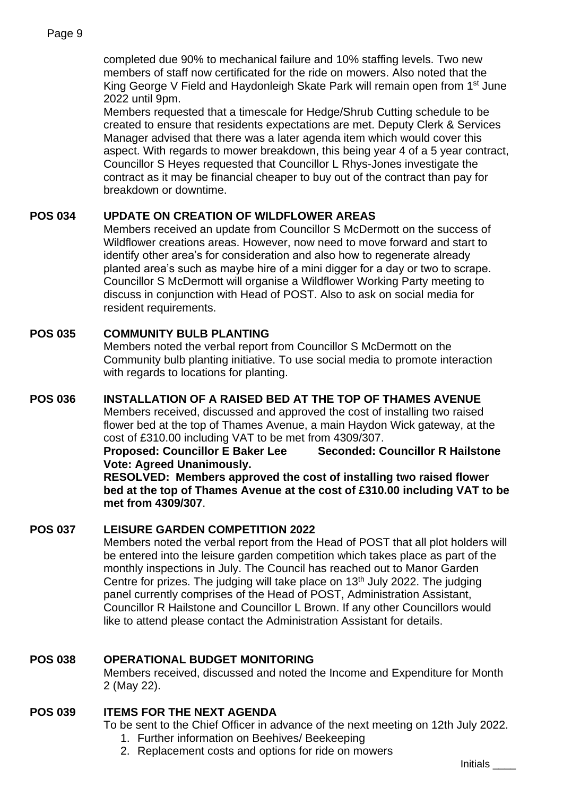completed due 90% to mechanical failure and 10% staffing levels. Two new members of staff now certificated for the ride on mowers. Also noted that the King George V Field and Haydonleigh Skate Park will remain open from 1<sup>st</sup> June 2022 until 9pm.

Members requested that a timescale for Hedge/Shrub Cutting schedule to be created to ensure that residents expectations are met. Deputy Clerk & Services Manager advised that there was a later agenda item which would cover this aspect. With regards to mower breakdown, this being year 4 of a 5 year contract, Councillor S Heyes requested that Councillor L Rhys-Jones investigate the contract as it may be financial cheaper to buy out of the contract than pay for breakdown or downtime.

## **POS 034 UPDATE ON CREATION OF WILDFLOWER AREAS**

Members received an update from Councillor S McDermott on the success of Wildflower creations areas. However, now need to move forward and start to identify other area's for consideration and also how to regenerate already planted area's such as maybe hire of a mini digger for a day or two to scrape. Councillor S McDermott will organise a Wildflower Working Party meeting to discuss in conjunction with Head of POST. Also to ask on social media for resident requirements.

## **POS 035 COMMUNITY BULB PLANTING**

Members noted the verbal report from Councillor S McDermott on the Community bulb planting initiative. To use social media to promote interaction with regards to locations for planting.

## **POS 036 INSTALLATION OF A RAISED BED AT THE TOP OF THAMES AVENUE**

Members received, discussed and approved the cost of installing two raised flower bed at the top of Thames Avenue, a main Haydon Wick gateway, at the cost of £310.00 including VAT to be met from 4309/307.

**Proposed: Councillor E Baker Lee Seconded: Councillor R Hailstone Vote: Agreed Unanimously.**

**RESOLVED: Members approved the cost of installing two raised flower bed at the top of Thames Avenue at the cost of £310.00 including VAT to be met from 4309/307**.

### **POS 037 LEISURE GARDEN COMPETITION 2022**

Members noted the verbal report from the Head of POST that all plot holders will be entered into the leisure garden competition which takes place as part of the monthly inspections in July. The Council has reached out to Manor Garden Centre for prizes. The judging will take place on 13<sup>th</sup> July 2022. The judging panel currently comprises of the Head of POST, Administration Assistant, Councillor R Hailstone and Councillor L Brown. If any other Councillors would like to attend please contact the Administration Assistant for details.

## **POS 038 OPERATIONAL BUDGET MONITORING**

Members received, discussed and noted the Income and Expenditure for Month 2 (May 22).

### **POS 039 ITEMS FOR THE NEXT AGENDA**

To be sent to the Chief Officer in advance of the next meeting on 12th July 2022.

- 1. Further information on Beehives/ Beekeeping
- 2. Replacement costs and options for ride on mowers

Initials \_\_\_\_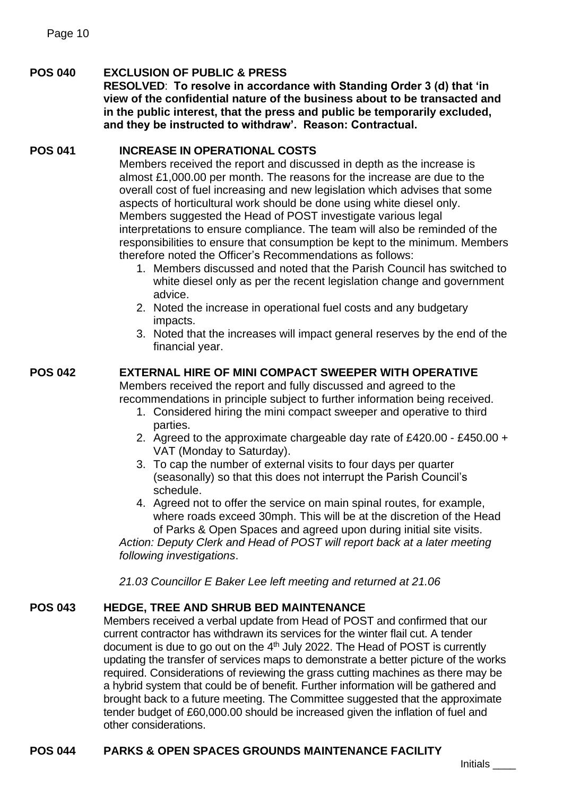## **POS 040 EXCLUSION OF PUBLIC & PRESS**

**RESOLVED**: **To resolve in accordance with Standing Order 3 (d) that 'in view of the confidential nature of the business about to be transacted and in the public interest, that the press and public be temporarily excluded, and they be instructed to withdraw'. Reason: Contractual.**

## **POS 041 INCREASE IN OPERATIONAL COSTS**

Members received the report and discussed in depth as the increase is almost £1,000.00 per month. The reasons for the increase are due to the overall cost of fuel increasing and new legislation which advises that some aspects of horticultural work should be done using white diesel only. Members suggested the Head of POST investigate various legal interpretations to ensure compliance. The team will also be reminded of the responsibilities to ensure that consumption be kept to the minimum. Members therefore noted the Officer's Recommendations as follows:

- 1. Members discussed and noted that the Parish Council has switched to white diesel only as per the recent legislation change and government advice.
- 2. Noted the increase in operational fuel costs and any budgetary impacts.
- 3. Noted that the increases will impact general reserves by the end of the financial year.

# **POS 042 EXTERNAL HIRE OF MINI COMPACT SWEEPER WITH OPERATIVE**

Members received the report and fully discussed and agreed to the recommendations in principle subject to further information being received.

- 1. Considered hiring the mini compact sweeper and operative to third parties.
- 2. Agreed to the approximate chargeable day rate of £420.00 £450.00 + VAT (Monday to Saturday).
- 3. To cap the number of external visits to four days per quarter (seasonally) so that this does not interrupt the Parish Council's schedule.
- 4. Agreed not to offer the service on main spinal routes, for example, where roads exceed 30mph. This will be at the discretion of the Head of Parks & Open Spaces and agreed upon during initial site visits.

*Action: Deputy Clerk and Head of POST will report back at a later meeting following investigations*.

*21.03 Councillor E Baker Lee left meeting and returned at 21.06*

## **POS 043 HEDGE, TREE AND SHRUB BED MAINTENANCE**

Members received a verbal update from Head of POST and confirmed that our current contractor has withdrawn its services for the winter flail cut. A tender document is due to go out on the 4<sup>th</sup> July 2022. The Head of POST is currently updating the transfer of services maps to demonstrate a better picture of the works required. Considerations of reviewing the grass cutting machines as there may be a hybrid system that could be of benefit. Further information will be gathered and brought back to a future meeting. The Committee suggested that the approximate tender budget of £60,000.00 should be increased given the inflation of fuel and other considerations.

## **POS 044 PARKS & OPEN SPACES GROUNDS MAINTENANCE FACILITY**

Initials \_\_\_\_